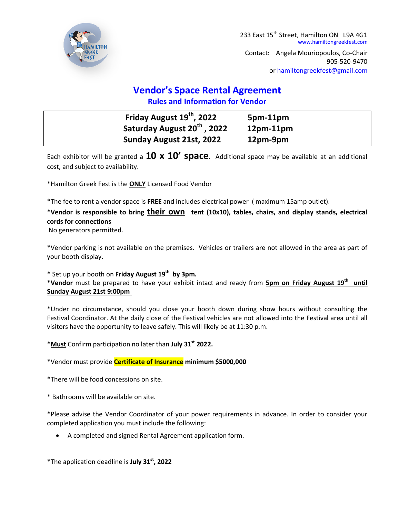

## **Vendor's Space Rental Agreement Rules and Information for Vendor**

| Friday August 19 <sup>th</sup> , 2022   | $5pm-11pm$  |
|-----------------------------------------|-------------|
| Saturday August 20 <sup>th</sup> , 2022 | $12pm-11pm$ |
| Sunday August 21st, 2022                | 12pm-9pm    |

Each exhibitor will be granted a **10 x 10' space**. Additional space may be available at an additional cost, and subject to availability.

\*Hamilton Greek Fest is the **ONLY** Licensed Food Vendor

\*The fee to rent a vendor space is **FREE** and includes electrical power ( maximum 15amp outlet).

## \***Vendor is responsible to bring their own tent (10x10), tables, chairs, and display stands, electrical cords for connections**

No generators permitted.

\*Vendor parking is not available on the premises. Vehicles or trailers are not allowed in the area as part of your booth display.

\* Set up your booth on **Friday August 19th by 3pm.** 

**\*Vendor** must be prepared to have your exhibit intact and ready from **5pm on Friday August 19th until Sunday August 21st 9:00pm** 

\*Under no circumstance, should you close your booth down during show hours without consulting the Festival Coordinator. At the daily close of the Festival vehicles are not allowed into the Festival area until all visitors have the opportunity to leave safely. This will likely be at 11:30 p.m.

\***Must** Confirm participation no later than **July 31st 2022.**

\*Vendor must provide **Certificate of Insurance minimum \$5000,000**

\*There will be food concessions on site.

\* Bathrooms will be available on site.

\*Please advise the Vendor Coordinator of your power requirements in advance. In order to consider your completed application you must include the following:

A completed and signed Rental Agreement application form.

\*The application deadline is **July 31st, 2022**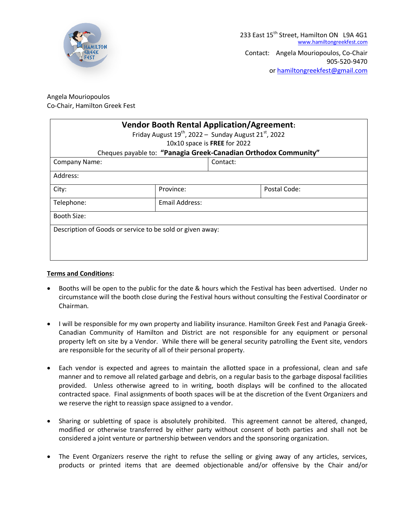

## Angela Mouriopoulos Co-Chair, Hamilton Greek Fest

| <b>Vendor Booth Rental Application/Agreement:</b><br>Friday August $19^{th}$ , 2022 – Sunday August 21st, 2022<br>10x10 space is FREE for 2022 |                |  |              |  |  |
|------------------------------------------------------------------------------------------------------------------------------------------------|----------------|--|--------------|--|--|
| Cheques payable to: "Panagia Greek-Canadian Orthodox Community"                                                                                |                |  |              |  |  |
| <b>Company Name:</b>                                                                                                                           | Contact:       |  |              |  |  |
| Address:                                                                                                                                       |                |  |              |  |  |
| City:                                                                                                                                          | Province:      |  | Postal Code: |  |  |
| Telephone:                                                                                                                                     | Email Address: |  |              |  |  |
| Booth Size:                                                                                                                                    |                |  |              |  |  |
| Description of Goods or service to be sold or given away:                                                                                      |                |  |              |  |  |

## **Terms and Conditions:**

- Booths will be open to the public for the date & hours which the Festival has been advertised. Under no circumstance will the booth close during the Festival hours without consulting the Festival Coordinator or Chairman.
- I will be responsible for my own property and liability insurance. Hamilton Greek Fest and Panagia Greek-Canadian Community of Hamilton and District are not responsible for any equipment or personal property left on site by a Vendor. While there will be general security patrolling the Event site, vendors are responsible for the security of all of their personal property.
- Each vendor is expected and agrees to maintain the allotted space in a professional, clean and safe manner and to remove all related garbage and debris, on a regular basis to the garbage disposal facilities provided. Unless otherwise agreed to in writing, booth displays will be confined to the allocated contracted space. Final assignments of booth spaces will be at the discretion of the Event Organizers and we reserve the right to reassign space assigned to a vendor.
- Sharing or subletting of space is absolutely prohibited. This agreement cannot be altered, changed, modified or otherwise transferred by either party without consent of both parties and shall not be considered a joint venture or partnership between vendors and the sponsoring organization.
- The Event Organizers reserve the right to refuse the selling or giving away of any articles, services, products or printed items that are deemed objectionable and/or offensive by the Chair and/or